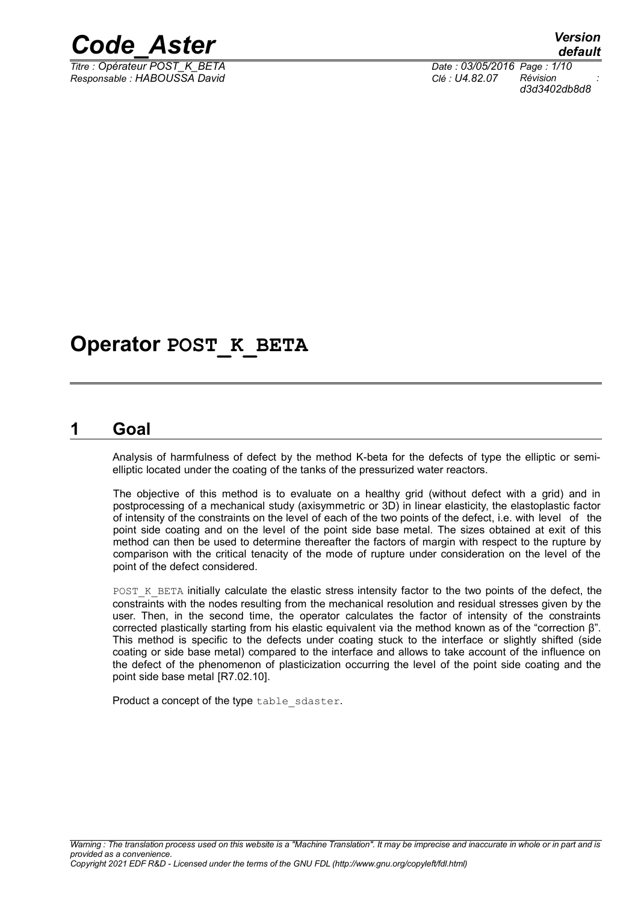

*Responsable : HABOUSSA David Clé : U4.82.07 Révision :*

*default Titre : Opérateur POST\_K\_BETA Date : 03/05/2016 Page : 1/10 d3d3402db8d8*

## **Operator POST\_K\_BETA**

## **1 Goal**

Analysis of harmfulness of defect by the method K-beta for the defects of type the elliptic or semielliptic located under the coating of the tanks of the pressurized water reactors.

The objective of this method is to evaluate on a healthy grid (without defect with a grid) and in postprocessing of a mechanical study (axisymmetric or 3D) in linear elasticity, the elastoplastic factor of intensity of the constraints on the level of each of the two points of the defect, i.e. with level of the point side coating and on the level of the point side base metal. The sizes obtained at exit of this method can then be used to determine thereafter the factors of margin with respect to the rupture by comparison with the critical tenacity of the mode of rupture under consideration on the level of the point of the defect considered.

POST\_K\_BETA initially calculate the elastic stress intensity factor to the two points of the defect, the constraints with the nodes resulting from the mechanical resolution and residual stresses given by the user. Then, in the second time, the operator calculates the factor of intensity of the constraints corrected plastically starting from his elastic equivalent via the method known as of the "correction β". This method is specific to the defects under coating stuck to the interface or slightly shifted (side coating or side base metal) compared to the interface and allows to take account of the influence on the defect of the phenomenon of plasticization occurring the level of the point side coating and the point side base metal [R7.02.10].

Product a concept of the type table sdaster.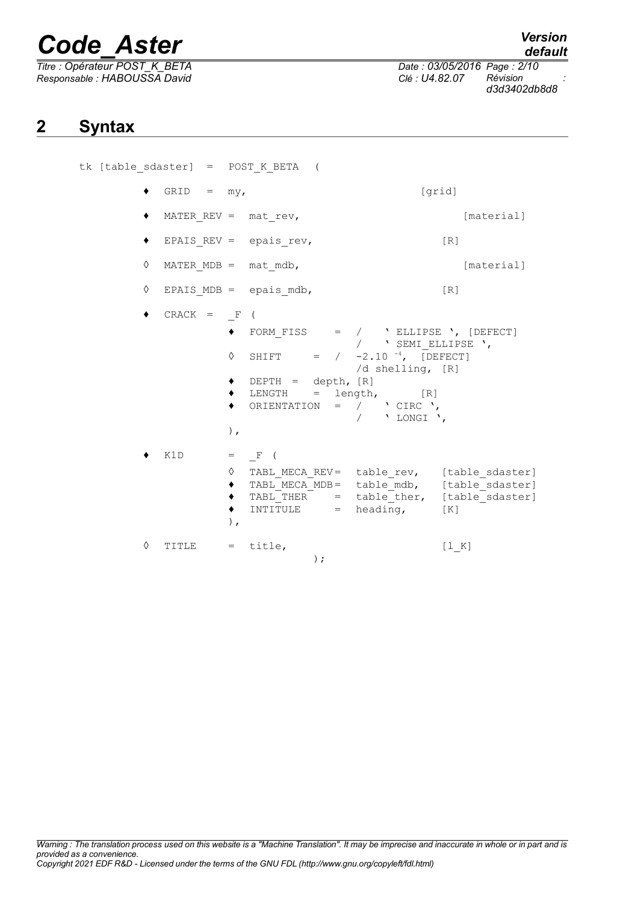*Titre : Opérateur POST\_K\_BETA Date : 03/05/2016 Page : 2/10*

*default*

*Responsable : HABOUSSA David Clé : U4.82.07 Révision : d3d3402db8d8*

## **2 Syntax**

|  |   |              |                                                     | tk [table sdaster] = POST K BETA (     |        |                                                                                                                                                                    |                                                                                                                                        |
|--|---|--------------|-----------------------------------------------------|----------------------------------------|--------|--------------------------------------------------------------------------------------------------------------------------------------------------------------------|----------------------------------------------------------------------------------------------------------------------------------------|
|  |   | GRID = $my,$ |                                                     |                                        |        |                                                                                                                                                                    | [grid]                                                                                                                                 |
|  |   |              |                                                     | MATER REV = $\text{mat rev}$ ,         |        |                                                                                                                                                                    | [material]                                                                                                                             |
|  | ٠ |              |                                                     | EPAIS REV = epais rev,                 |        |                                                                                                                                                                    | [R]                                                                                                                                    |
|  | ♦ |              |                                                     | MATER MDB = $\text{mat} \text{mdb}$ ,  |        |                                                                                                                                                                    | [material]                                                                                                                             |
|  | ♦ |              |                                                     | EPAIS $MDB = epais mdb,$               |        |                                                                                                                                                                    | [R]                                                                                                                                    |
|  |   | $CRACK = F$  | ♦<br>$\bullet$<br>$\,$ ,                            | $\overline{ }$<br>DEPTH = $depth, [R]$ |        | $\sqrt{2}$ SEMI ELLIPSE $\prime$ ,<br>SHIFT = $/ -2.10^{-4}$ , [DEFECT]<br>/d shelling, [R]<br>LENGTH = length, [R]<br>ORIENTATION = $/$ ' CIRC ',<br>$/$ 'LONGI', | FORM_FISS = $/$ 'ELLIPSE ', [DEFECT]                                                                                                   |
|  |   | K1D          | $\Diamond$<br>$\bullet$<br>$\bullet$<br>٠<br>$\,$ , | $=$ F (                                |        | INTITULE = $heading$ , $[K]$                                                                                                                                       | TABL MECA_REV= table_rev, [table_sdaster]<br>TABL MECA MDB= table mdb, [table sdaster]<br>$TABLE THER = table [there, [table_sdaster]$ |
|  | ♦ | TITLE        |                                                     | $=$ title,                             | $\,$ ; |                                                                                                                                                                    | [1 K]                                                                                                                                  |

*Warning : The translation process used on this website is a "Machine Translation". It may be imprecise and inaccurate in whole or in part and is provided as a convenience. Copyright 2021 EDF R&D - Licensed under the terms of the GNU FDL (http://www.gnu.org/copyleft/fdl.html)*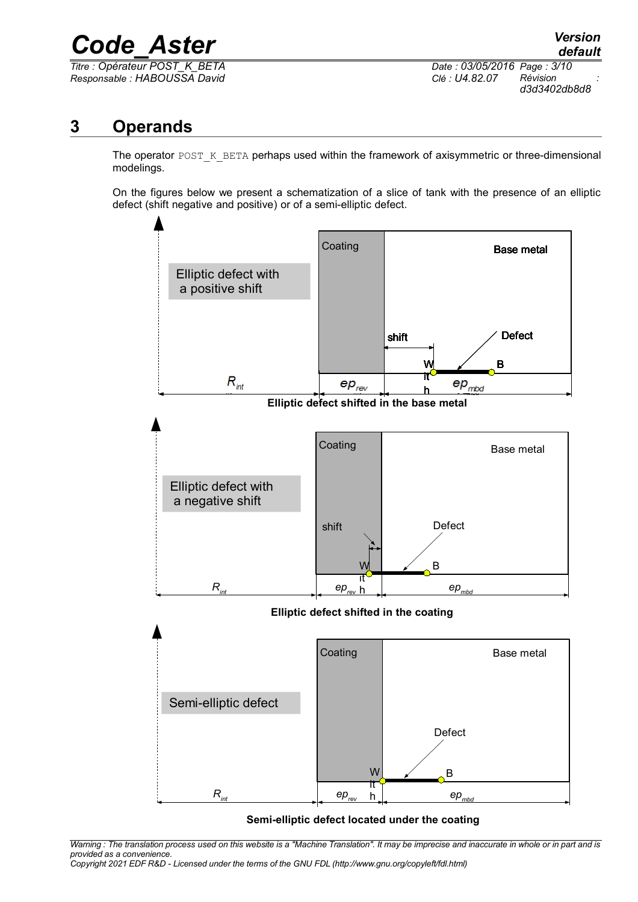*Titre : Opérateur POST\_K\_BETA Date : 03/05/2016 Page : 3/10 Responsable : HABOUSSA David Clé : U4.82.07 Révision :*

*d3d3402db8d8*

## **3 Operands**

The operator POST\_K\_BETA perhaps used within the framework of axisymmetric or three-dimensional modelings.

On the figures below we present a schematization of a slice of tank with the presence of an elliptic defect (shift negative and positive) or of a semi-elliptic defect.



#### **Semi-elliptic defect located under the coating**

*Warning : The translation process used on this website is a "Machine Translation". It may be imprecise and inaccurate in whole or in part and is provided as a convenience. Copyright 2021 EDF R&D - Licensed under the terms of the GNU FDL (http://www.gnu.org/copyleft/fdl.html)*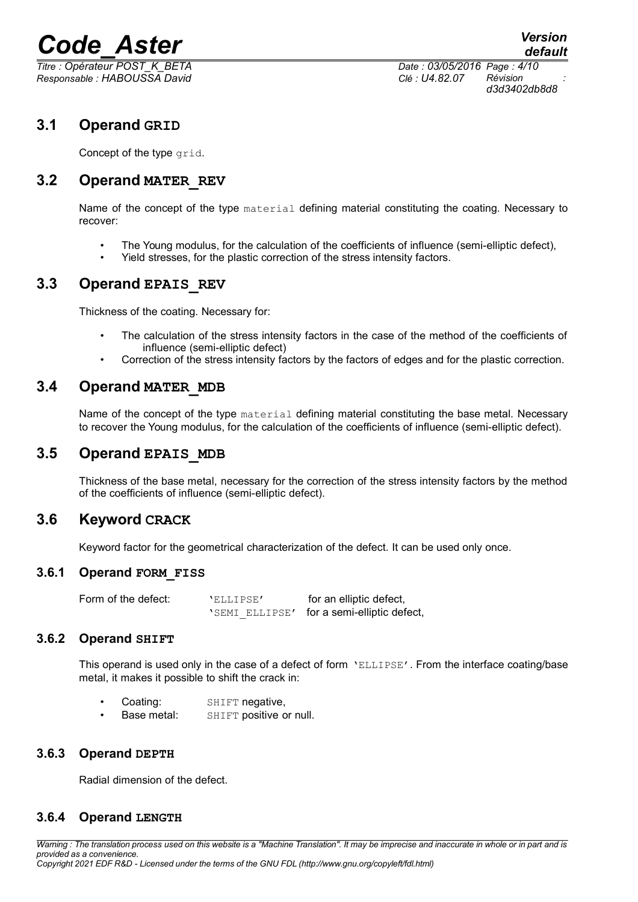*Titre : Opérateur POST\_K\_BETA Date : 03/05/2016 Page : 4/10 Responsable : HABOUSSA David Clé : U4.82.07 Révision :*

*d3d3402db8d8*

## **3.1 Operand GRID**

Concept of the type grid.

## **3.2 Operand MATER\_REV**

Name of the concept of the type material defining material constituting the coating. Necessary to recover:

- The Young modulus, for the calculation of the coefficients of influence (semi-elliptic defect),
- Yield stresses, for the plastic correction of the stress intensity factors.

## **3.3 Operand EPAIS\_REV**

Thickness of the coating. Necessary for:

- The calculation of the stress intensity factors in the case of the method of the coefficients of influence (semi-elliptic defect)
- Correction of the stress intensity factors by the factors of edges and for the plastic correction.

#### **3.4 Operand MATER\_MDB**

Name of the concept of the type material defining material constituting the base metal. Necessary to recover the Young modulus, for the calculation of the coefficients of influence (semi-elliptic defect).

#### **3.5 Operand EPAIS\_MDB**

Thickness of the base metal, necessary for the correction of the stress intensity factors by the method of the coefficients of influence (semi-elliptic defect).

#### **3.6 Keyword CRACK**

Keyword factor for the geometrical characterization of the defect. It can be used only once.

#### **3.6.1 Operand FORM\_FISS**

| Form of the defect: | 'ELLIPSE'      | for an elliptic defect,     |  |
|---------------------|----------------|-----------------------------|--|
|                     | 'SEMI ELLIPSE' | for a semi-elliptic defect, |  |

#### **3.6.2 Operand SHIFT**

This operand is used only in the case of a defect of form 'ELLIPSE'. From the interface coating/base metal, it makes it possible to shift the crack in:

- Coating: SHIFT negative,
- Base metal: SHIFT positive or null.

#### **3.6.3 Operand DEPTH**

Radial dimension of the defect.

#### **3.6.4 Operand LENGTH**

*Warning : The translation process used on this website is a "Machine Translation". It may be imprecise and inaccurate in whole or in part and is provided as a convenience. Copyright 2021 EDF R&D - Licensed under the terms of the GNU FDL (http://www.gnu.org/copyleft/fdl.html)*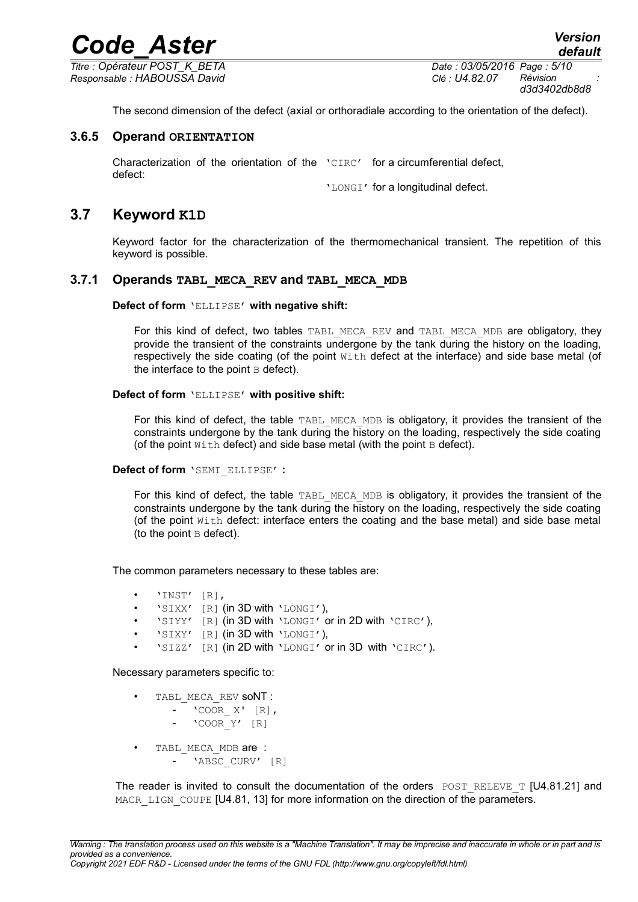*Code\_Aster Version Titre : Opérateur POST\_K\_BETA Date : 03/05/2016 Page : 5/10*

*Responsable : HABOUSSA David Clé : U4.82.07 Révision :*

*d3d3402db8d8*

The second dimension of the defect (axial or orthoradiale according to the orientation of the defect).

#### **3.6.5 Operand ORIENTATION**

Characterization of the orientation of the 'CIRC' for a circumferential defect, defect:

'LONGI' for a longitudinal defect.

#### **3.7 Keyword K1D**

Keyword factor for the characterization of the thermomechanical transient. The repetition of this keyword is possible.

#### **3.7.1 Operands TABL\_MECA\_REV and TABL\_MECA\_MDB**

**Defect of form** 'ELLIPSE' **with negative shift:**

For this kind of defect, two tables TABL\_MECA\_REV and TABL\_MECA\_MDB are obligatory, they provide the transient of the constraints undergone by the tank during the history on the loading, respectively the side coating (of the point  $W$ ith defect at the interface) and side base metal (of the interface to the point  $B$  defect).

#### **Defect of form** 'ELLIPSE' **with positive shift:**

For this kind of defect, the table TABL MECA MDB is obligatory, it provides the transient of the constraints undergone by the tank during the history on the loading, respectively the side coating (of the point  $W$ ith defect) and side base metal (with the point  $B$  defect).

#### **Defect of form** 'SEMI\_ELLIPSE' **:**

For this kind of defect, the table TABL MECA MDB is obligatory, it provides the transient of the constraints undergone by the tank during the history on the loading, respectively the side coating (of the point With defect: interface enters the coating and the base metal) and side base metal (to the point  $B$  defect).

The common parameters necessary to these tables are:

- 'INST' [R],
- 'SIXX' [R] (in 3D with 'LONGI'),
- 'SIYY' [R] (in 3D with 'LONGI' or in 2D with 'CIRC'),
- 'SIXY' [R] (in 3D with 'LONGI'),
- 'SIZZ' [R] (in 2D with 'LONGI' or in 3D with 'CIRC').

Necessary parameters specific to:

- TABL MECA REV SONT :
	- 'COOR  $X'$  [R],
	- $-$  'COOR Y'  $[R]$
- TABL MECA MDB are :
	- 'ABSC CURV' [R]

The reader is invited to consult the documentation of the orders  $POST RELEVE T [U4.81.21]$  and MACR LIGN COUPE [U4.81, 13] for more information on the direction of the parameters.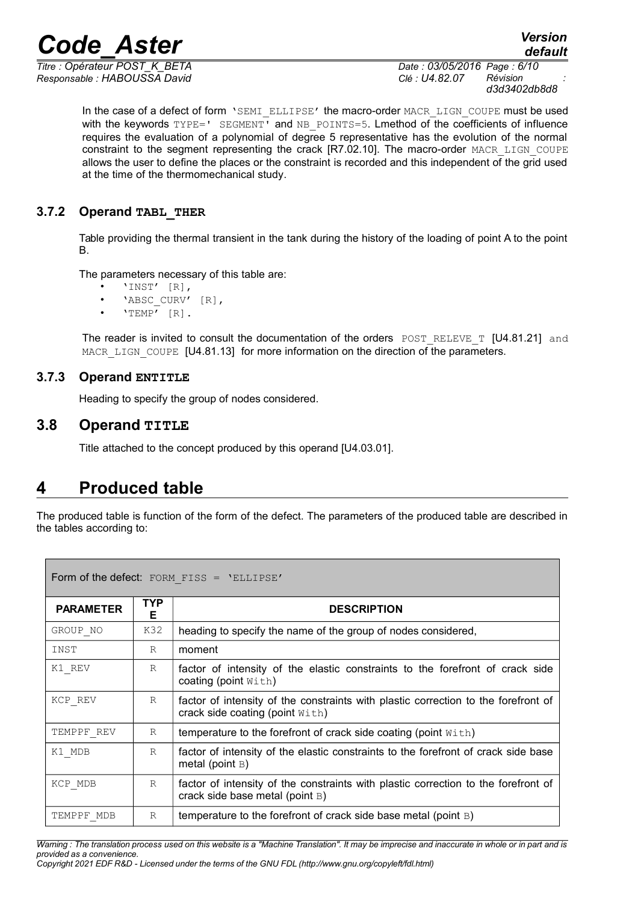*Responsable : HABOUSSA David Clé : U4.82.07 Révision :*

*Titre : Opérateur POST\_K\_BETA Date : 03/05/2016 Page : 6/10 d3d3402db8d8*

In the case of a defect of form 'SEMI\_ELLIPSE' the macro-order MACR\_LIGN\_COUPE must be used with the keywords  $TYPE=$   $SEGMENT$  and  $NB$   $POINTS=5$ . Lmethod of the coefficients of influence requires the evaluation of a polynomial of degree 5 representative has the evolution of the normal constraint to the segment representing the crack [R7.02.10]. The macro-order MACR LIGN COUPE allows the user to define the places or the constraint is recorded and this independent of the grid used at the time of the thermomechanical study.

#### **3.7.2 Operand TABL\_THER**

Table providing the thermal transient in the tank during the history of the loading of point A to the point B.

The parameters necessary of this table are:

- 'INST' [R],
- 'ABSC\_CURV' [R],
- $\cdot$  'TEMP'  $[R]$ .

The reader is invited to consult the documentation of the orders  $POST$  RELEVE  $T$  [U4.81.21] and MACR\_LIGN\_COUPE [U4.81.13] for more information on the direction of the parameters.

#### **3.7.3 Operand ENTITLE**

Heading to specify the group of nodes considered.

#### **3.8 Operand TITLE**

Title attached to the concept produced by this operand [U4.03.01].

## **4 Produced table**

The produced table is function of the form of the defect. The parameters of the produced table are described in the tables according to:

| Form of the defect: $FORM FISS = 'ELLIPSE'$ |          |                                                                                                                          |  |  |
|---------------------------------------------|----------|--------------------------------------------------------------------------------------------------------------------------|--|--|
| <b>PARAMETER</b>                            | TYP<br>Е | <b>DESCRIPTION</b>                                                                                                       |  |  |
| GROUP NO                                    | K32      | heading to specify the name of the group of nodes considered,                                                            |  |  |
| INST                                        | R        | moment                                                                                                                   |  |  |
| K1 REV                                      | R        | factor of intensity of the elastic constraints to the forefront of crack side<br>coating (point With)                    |  |  |
| KCP REV                                     | R        | factor of intensity of the constraints with plastic correction to the forefront of<br>crack side coating (point With)    |  |  |
| TEMPPF REV                                  | R        | temperature to the forefront of crack side coating (point $W$ ith)                                                       |  |  |
| K1 MDB                                      | R        | factor of intensity of the elastic constraints to the forefront of crack side base<br>metal (point $B$ )                 |  |  |
| KCP MDB                                     | R        | factor of intensity of the constraints with plastic correction to the forefront of<br>crack side base metal (point $B$ ) |  |  |
| TEMPPF MDB                                  | R        | temperature to the forefront of crack side base metal (point $\mathbb{B}$ )                                              |  |  |

*Warning : The translation process used on this website is a "Machine Translation". It may be imprecise and inaccurate in whole or in part and is provided as a convenience.*

*Copyright 2021 EDF R&D - Licensed under the terms of the GNU FDL (http://www.gnu.org/copyleft/fdl.html)*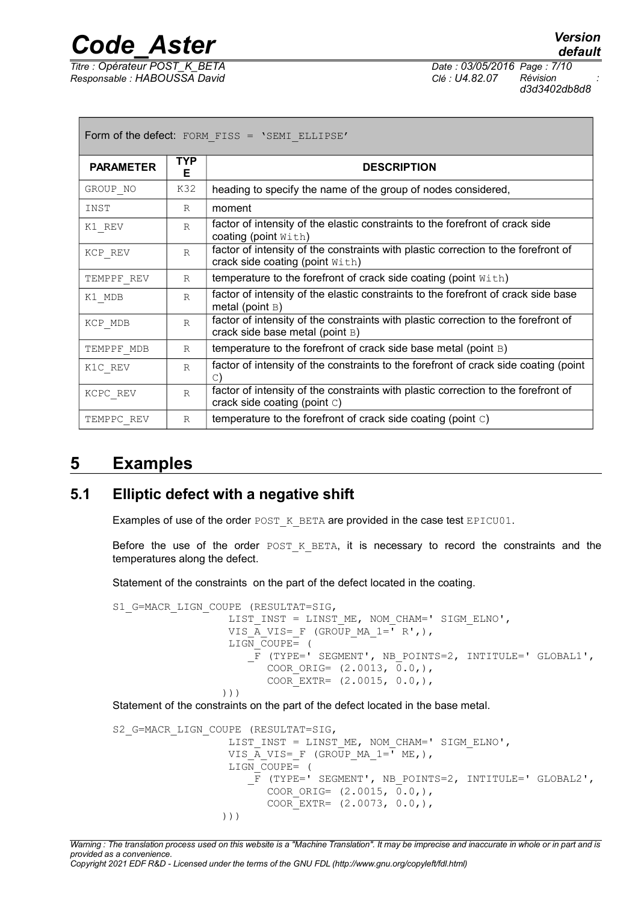*Titre : Opérateur POST\_K\_BETA Date : 03/05/2016 Page : 7/10 Responsable : HABOUSSA David Clé : U4.82.07 Révision :*

| Form of the defect: FORM FISS = 'SEMI ELLIPSE' |                 |                                                                                                                           |  |  |
|------------------------------------------------|-----------------|---------------------------------------------------------------------------------------------------------------------------|--|--|
| <b>PARAMETER</b>                               | <b>TYP</b><br>Е | <b>DESCRIPTION</b>                                                                                                        |  |  |
| GROUP NO                                       | K32             | heading to specify the name of the group of nodes considered,                                                             |  |  |
| INST                                           | R               | moment                                                                                                                    |  |  |
| K1 REV                                         | $\mathbb{R}$    | factor of intensity of the elastic constraints to the forefront of crack side<br>coating (point With)                     |  |  |
| KCP REV                                        | $\mathbb{R}$    | factor of intensity of the constraints with plastic correction to the forefront of<br>crack side coating (point With)     |  |  |
| TEMPPF REV                                     | R               | temperature to the forefront of crack side coating (point $With$ )                                                        |  |  |
| K1 MDB                                         | $\mathbb{R}$    | factor of intensity of the elastic constraints to the forefront of crack side base<br>metal (point $B$ )                  |  |  |
| KCP MDB                                        | $\mathbb{R}$    | factor of intensity of the constraints with plastic correction to the forefront of<br>crack side base metal (point $B$ )  |  |  |
| TEMPPF MDB                                     | R               | temperature to the forefront of crack side base metal (point $\mathbb{B}$ )                                               |  |  |
| K1C REV                                        | $\mathbb{R}$    | factor of intensity of the constraints to the forefront of crack side coating (point<br>$\circ$ )                         |  |  |
| KCPC REV                                       | $\mathbb{R}$    | factor of intensity of the constraints with plastic correction to the forefront of<br>crack side coating (point $\circ$ ) |  |  |
| TEMPPC REV                                     | $\mathbb{R}$    | temperature to the forefront of crack side coating (point $\circ$ )                                                       |  |  |

*Code\_Aster Version*

## **5 Examples**

## **5.1 Elliptic defect with a negative shift**

Examples of use of the order POST\_K\_BETA are provided in the case test EPICU01.

Before the use of the order  $POSTK BETA$ , it is necessary to record the constraints and the temperatures along the defect.

Statement of the constraints on the part of the defect located in the coating.

S1\_G=MACR\_LIGN\_COUPE (RESULTAT=SIG, LIST INST = LINST ME, NOM CHAM=' SIGM\_ELNO', VIS A VIS= F (GROUP MA  $1=\overline{'} R',$ ), LIGN\_COUPE= ( \_F (TYPE=' SEGMENT', NB\_POINTS=2, INTITULE=' GLOBAL1', COOR\_ORIG=  $(2.0013, 0.0, )$ ,  $COOR$  EXTR=  $(2.0015, 0.0,),$ 

```
 )))
```
Statement of the constraints on the part of the defect located in the base metal.

```
S2_G=MACR_LIGN_COUPE (RESULTAT=SIG, 
                   LIST INST = LINST ME, NOM CHAM=' SIGM_ELNO',
                   VIS A VIS= F (GROUP MA 1=<sup>T</sup> ME,),
                    LIGN_COUPE= (
                       _F (TYPE=' SEGMENT', NB_POINTS=2, INTITULE=' GLOBAL2',
                         COOR ORIG= (2.0015, 0.0,), COOR_EXTR= (2.0073, 0.0,),
                   )))
```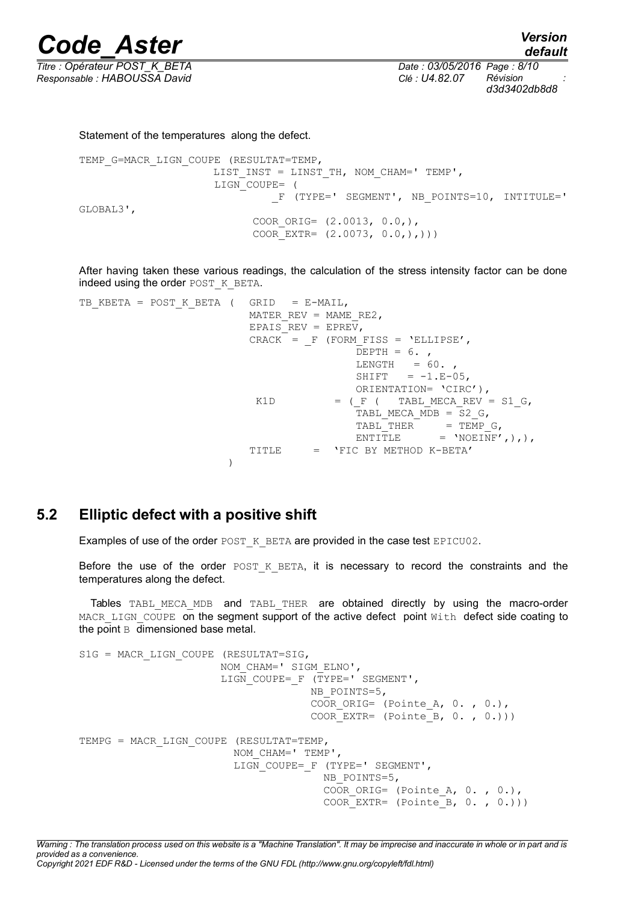

Statement of the temperatures along the defect.

TEMP\_G=MACR\_LIGN\_COUPE (RESULTAT=TEMP, LIST INST = LINST TH, NOM CHAM=' TEMP', LIGN\_COUPE= ( \_F (TYPE=' SEGMENT', NB\_POINTS=10, INTITULE=' GLOBAL3', COOR ORIG= (2.0013, 0.0,), COOR EXTR=  $(2.0073, 0.0,),))$ 

After having taken these various readings, the calculation of the stress intensity factor can be done indeed using the order POST\_K\_BETA.

TB KBETA = POST K BETA (  $GRID = E-MAIL,$ MATER REV = MAME RE2, EPAIS REV = EPREV, CRACK =  $F$  (FORM FISS = 'ELLIPSE',  $DEPTH = 6.$  $LENGTH = 60.$ SHIFT  $= -1.E-05$ , ORIENTATION= 'CIRC'), K1D = ( $F$  ( TABL MECA REV = S1 G, TABL MECA  $MDB = S2 G,$  $TABLE$  TABL THER = TEMP  $G$ , ENTITLE  $= 'NOEINF', )$ , TITLE = 'FIC BY METHOD K-BETA' )

## **5.2 Elliptic defect with a positive shift**

Examples of use of the order POST\_K\_BETA are provided in the case test EPICU02.

Before the use of the order  $POST K BETA$ , it is necessary to record the constraints and the temperatures along the defect.

Tables TABL\_MECA\_MDB and TABL\_THER are obtained directly by using the macro-order MACR LIGN COUPE on the segment support of the active defect point With defect side coating to the point  $B$  dimensioned base metal.

```
S1G = MACR LIGN COUPE (RESULTAT=SIG,
                       NOM_CHAM=' SIGM_ELNO',
                      LIGN COUPE= F (TYPE=' SEGMENT',
                                    NB_POINTS=5,
                                    COOR ORIG= (Pointe A, 0., 0.),
                                    COOR EXTR= (Pointe B, 0., 0.)))
TEMPG = MACR_LIGN_COUPE (RESULTAT=TEMP,
                         NOM_CHAM=' TEMP',
                        LIGN_COUPE=_F (TYPE=' SEGMENT',
                                      NB_POINTS=5,
                                      COOR ORIG= (Pointe A, 0., 0.),
                                      COOR EXTR= (Pointe B, 0., 0.)))
```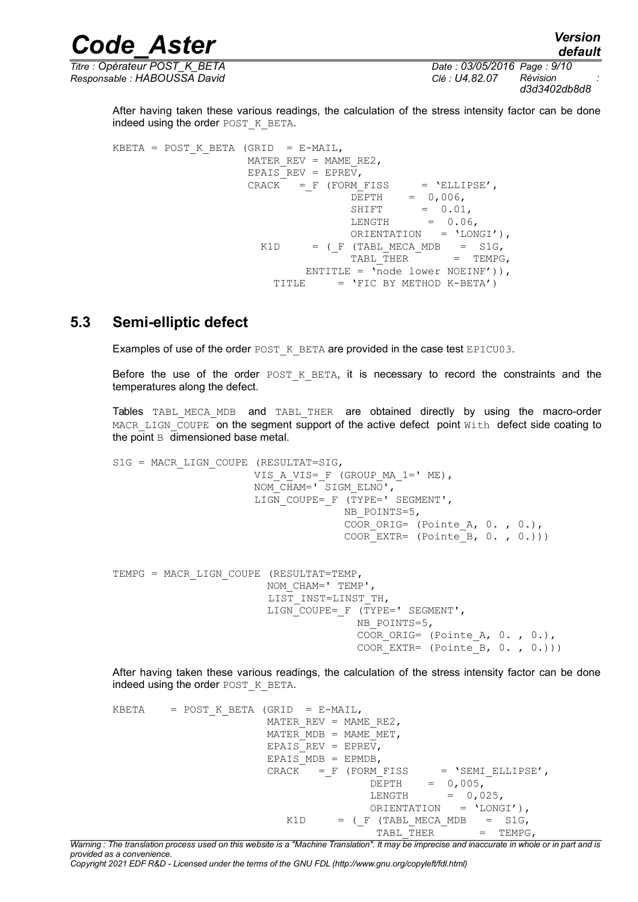*Responsable : HABOUSSA David Clé : U4.82.07 Révision :*

*Titre : Opérateur POST\_K\_BETA Date : 03/05/2016 Page : 9/10 d3d3402db8d8*

*default*

After having taken these various readings, the calculation of the stress intensity factor can be done indeed using the order POST\_K\_BETA.

KBETA = POST K BETA (GRID = E-MAIL, MATER REV = MAME RE2, EPAIS REV =  $EPREV$ ,  $CRACK$  = F (FORM FISS = 'ELLIPSE',  $\overline{\text{DEPTH}}$  = 0,006,  $S$ HIFT =  $0.01$ ,  $LENGTH = 0.06$ , ORIENTATION = 'LONGI'),<br>K1D = (F (TABL MECA MDB = S1G,  $=$  ( $_F$  (TABL\_MECA\_MDB = S1G, TABL THER =  $T_{\text{HER}}$  = TEMPG, ENTITLE = 'node lower NOEINF')), TITLE  $=$  'FIC BY METHOD K-BETA')

#### **5.3 Semi-elliptic defect**

Examples of use of the order POST\_K\_BETA are provided in the case test EPICU03.

Before the use of the order  $POSTK BETA$ , it is necessary to record the constraints and the temperatures along the defect.

Tables TABL\_MECA\_MDB and TABL\_THER are obtained directly by using the macro-order MACR LIGN COUPE on the segment support of the active defect point With defect side coating to the point  $B$  dimensioned base metal.

```
S1G = MACR LIGN COUPE (RESULTAT=SIG,
 VIS_A_VIS=_F (GROUP_MA_1=' ME),
NOM CHAM=' SIGM ELNO',
                    LIGN COUPE= F (TYPE=' SEGMENT',
                                  NB_POINTS=5,
                                 COOR ORIG= (Pointe A, 0., 0.),
                                 COOR EXTR= (Pointe B, 0. , 0.)))
TEMPG = MACR_LIGN_COUPE (RESULTAT=TEMP,
                       NOM_CHAM=' TEMP',
                       LIST_INST=LINST_TH,
                      LIGN COUPE= F (TYPE=' SEGMENT',
                                   NB_POINTS=5,
                                   COOR ORIG= (Pointe A, 0., 0.),
                                   COOR EXTR= (Pointe B, 0. , 0.)))
```
After having taken these various readings, the calculation of the stress intensity factor can be done indeed using the order POST\_K\_BETA.

```
KBETA = POST K BETA (GRID = E-MAIL,
                        MATER REV = MAME RE2,
                        MATER MDB = MAME MET,
                        EPAIS<sub>REV</sub> = EPREV,
                        EPAIS MDB = EPMDB,
                        CRACK = F (FORM FISS = 'SEMI_ELLIPSE',<br>DEPTH = 0,005,
                                                  = 0,005,LENGTH = 0,025, ORIENTATION = 'LONGI'),
                           K1D = (F \text{ (TABLE MECA MDB = SIG)}TABL THER = TEMPG,
```
*Warning : The translation process used on this website is a "Machine Translation". It may be imprecise and inaccurate in whole or in part and is provided as a convenience.*

*Copyright 2021 EDF R&D - Licensed under the terms of the GNU FDL (http://www.gnu.org/copyleft/fdl.html)*